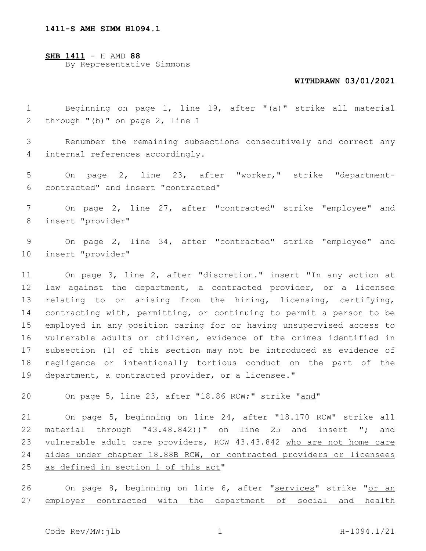**1411-S AMH SIMM H1094.1**

**SHB 1411** - H AMD **88** By Representative Simmons

## **WITHDRAWN 03/01/2021**

1 Beginning on page 1, line 19, after "(a)" strike all material 2 through "(b)" on page 2, line 1

3 Renumber the remaining subsections consecutively and correct any 4 internal references accordingly.

5 On page 2, line 23, after "worker," strike "departmentcontracted" and insert "contracted"6

7 On page 2, line 27, after "contracted" strike "employee" and 8 insert "provider"

9 On page 2, line 34, after "contracted" strike "employee" and 10 insert "provider"

 On page 3, line 2, after "discretion." insert "In any action at law against the department, a contracted provider, or a licensee relating to or arising from the hiring, licensing, certifying, contracting with, permitting, or continuing to permit a person to be employed in any position caring for or having unsupervised access to vulnerable adults or children, evidence of the crimes identified in subsection (1) of this section may not be introduced as evidence of negligence or intentionally tortious conduct on the part of the department, a contracted provider, or a licensee."

20 On page 5, line 23, after "18.86 RCW;" strike "and"

21 On page 5, beginning on line 24, after "18.170 RCW" strike all 22 material through "43.48.842))" on line 25 and insert "; and 23 vulnerable adult care providers, RCW 43.43.842 who are not home care 24 aides under chapter 18.88B RCW, or contracted providers or licensees 25 as defined in section 1 of this act"

26 On page 8, beginning on line 6, after "services" strike "or an 27 employer contracted with the department of social and health